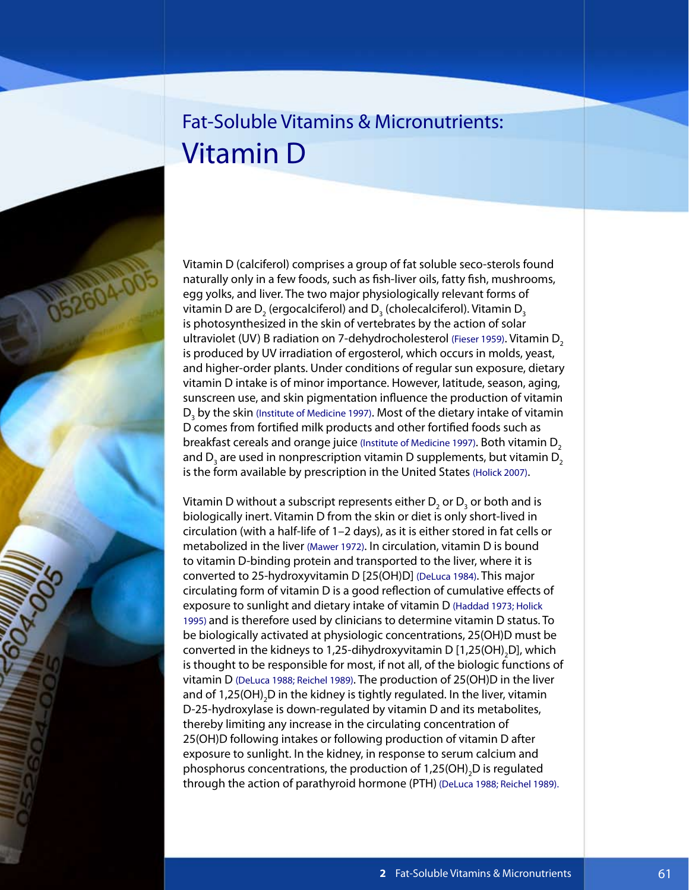# Fat-Soluble Vitamins & Micronutrients: Vitamin D

Vitamin D (calciferol) comprises a group of fat soluble seco-sterols found naturally only in a few foods, such as fish-liver oils, fatty fish, mushrooms, egg yolks, and liver. The two major physiologically relevant forms of vitamin D are  $\mathsf{D}_\mathsf{2}$  (ergocalciferol) and  $\mathsf{D}_\mathsf{3}$  (cholecalciferol). Vitamin  $\mathsf{D}_\mathsf{3}$ is photosynthesized in the skin of vertebrates by the action of solar ultraviolet (UV) B radiation on 7-dehydrocholesterol (Fieser 1959). Vitamin D<sub>2</sub> is produced by UV irradiation of ergosterol, which occurs in molds, yeast, and higher-order plants. Under conditions of regular sun exposure, dietary vitamin D intake is of minor importance. However, latitude, season, aging, sunscreen use, and skin pigmentation influence the production of vitamin  $\mathsf{D}_{\mathsf{3}}$  by the skin (Institute of Medicine 1997). Most of the dietary intake of vitamin D comes from fortified milk products and other fortified foods such as breakfast cereals and orange juice (Institute of Medicine 1997). Both vitamin D<sub>2</sub> and  $\mathsf{D}_{_{\!3}}$  are used in nonprescription vitamin  $\mathsf{D}% _{\mathsf{A}}$  supplements, but vitamin  $\mathsf{D}_{_{\!2}}$ is the form available by prescription in the United States (Holick 2007).

Vitamin D without a subscript represents either  $\mathsf{D}_\mathsf{2}$  or  $\mathsf{D}_\mathsf{3}$  or both and is biologically inert. Vitamin D from the skin or diet is only short-lived in circulation (with a half-life of 1–2 days), as it is either stored in fat cells or metabolized in the liver (Mawer 1972). In circulation, vitamin D is bound to vitamin D-binding protein and transported to the liver, where it is converted to 25-hydroxyvitamin D [25(OH)D] (DeLuca 1984). This major circulating form of vitamin D is a good reflection of cumulative effects of exposure to sunlight and dietary intake of vitamin D (Haddad 1973; Holick 1995) and is therefore used by clinicians to determine vitamin D status. To be biologically activated at physiologic concentrations, 25(OH)D must be converted in the kidneys to 1,25-dihydroxyvitamin D [1,25(OH)<sub>2</sub>D], which is thought to be responsible for most, if not all, of the biologic functions of vitamin D (DeLuca 1988; Reichel 1989). The production of 25(OH)D in the liver and of 1,25(OH) $_{\rm 2}$ D in the kidney is tightly regulated. In the liver, vitamin D-25-hydroxylase is down-regulated by vitamin D and its metabolites, thereby limiting any increase in the circulating concentration of 25(OH)D following intakes or following production of vitamin D after exposure to sunlight. In the kidney, in response to serum calcium and phosphorus concentrations, the production of 1,25(OH)<sub>2</sub>D is regulated through the action of parathyroid hormone (PTH) (DeLuca 1988; Reichel 1989).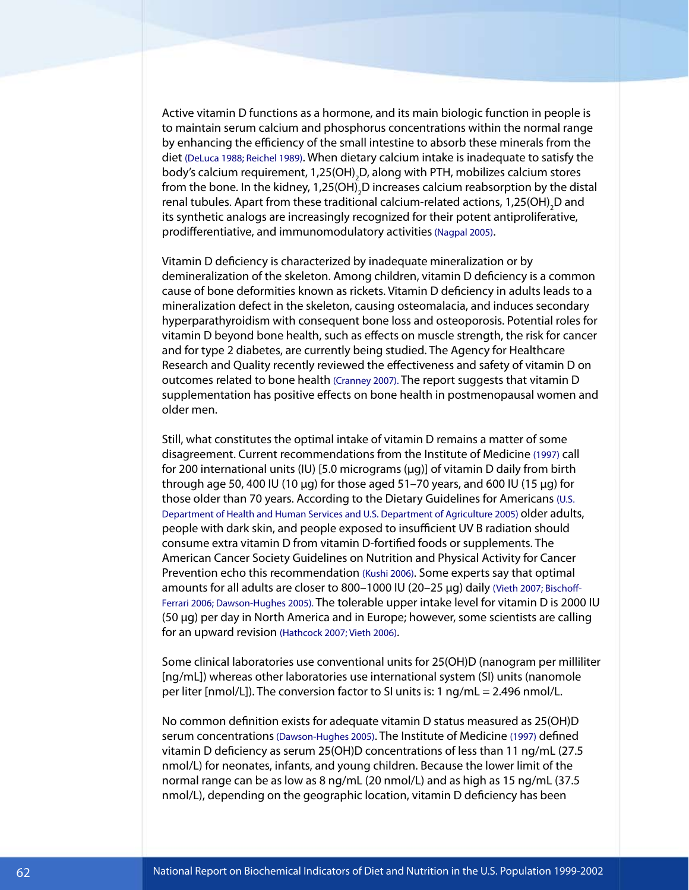Active vitamin D functions as a hormone, and its main biologic function in people is to maintain serum calcium and phosphorus concentrations within the normal range by enhancing the efficiency of the small intestine to absorb these minerals from the diet (DeLuca 1988; Reichel 1989). When dietary calcium intake is inadequate to satisfy the body's calcium requirement, 1,25(OH)<sub>2</sub>D, along with PTH, mobilizes calcium stores from the bone. In the kidney, 1,25(OH)<sub>2</sub>D increases calcium reabsorption by the distal renal tubules. Apart from these traditional calcium-related actions, 1,25(OH)<sub>2</sub>D and its synthetic analogs are increasingly recognized for their potent antiproliferative, prodifferentiative, and immunomodulatory activities (Nagpal 2005).

Vitamin D deficiency is characterized by inadequate mineralization or by demineralization of the skeleton. Among children, vitamin D deficiency is a common cause of bone deformities known as rickets. Vitamin D deficiency in adults leads to a mineralization defect in the skeleton, causing osteomalacia, and induces secondary hyperparathyroidism with consequent bone loss and osteoporosis. Potential roles for vitamin D beyond bone health, such as effects on muscle strength, the risk for cancer and for type 2 diabetes, are currently being studied. The Agency for Healthcare Research and Quality recently reviewed the effectiveness and safety of vitamin D on outcomes related to bone health (Cranney 2007). The report suggests that vitamin D supplementation has positive effects on bone health in postmenopausal women and older men.

Still, what constitutes the optimal intake of vitamin D remains a matter of some disagreement. Current recommendations from the Institute of Medicine (1997) call for 200 international units (IU) [5.0 micrograms (µg)] of vitamin D daily from birth through age 50, 400 IU (10  $\mu$ g) for those aged 51–70 years, and 600 IU (15  $\mu$ g) for those older than 70 years. According to the Dietary Guidelines for Americans (U.S. Department of Health and Human Services and U.S. Department of Agriculture 2005) older adults, people with dark skin, and people exposed to insufficient UV B radiation should consume extra vitamin D from vitamin D-fortified foods or supplements. The American Cancer Society Guidelines on Nutrition and Physical Activity for Cancer Prevention echo this recommendation (Kushi 2006). Some experts say that optimal amounts for all adults are closer to 800–1000 IU (20–25 µg) daily (Vieth 2007; Bischoff-Ferrari 2006; Dawson-Hughes 2005). The tolerable upper intake level for vitamin D is 2000 IU (50 µg) per day in North America and in Europe; however, some scientists are calling for an upward revision (Hathcock 2007; Vieth 2006).

Some clinical laboratories use conventional units for 25(OH)D (nanogram per milliliter [ng/mL]) whereas other laboratories use international system (SI) units (nanomole per liter [nmol/L]). The conversion factor to SI units is: 1 ng/mL = 2.496 nmol/L.

No common definition exists for adequate vitamin D status measured as 25(OH)D serum concentrations (Dawson-Hughes 2005). The Institute of Medicine (1997) defined vitamin D deficiency as serum 25(OH)D concentrations of less than 11 ng/mL (27.5 nmol/L) for neonates, infants, and young children. Because the lower limit of the normal range can be as low as 8 ng/mL (20 nmol/L) and as high as 15 ng/mL (37.5 nmol/L), depending on the geographic location, vitamin D deficiency has been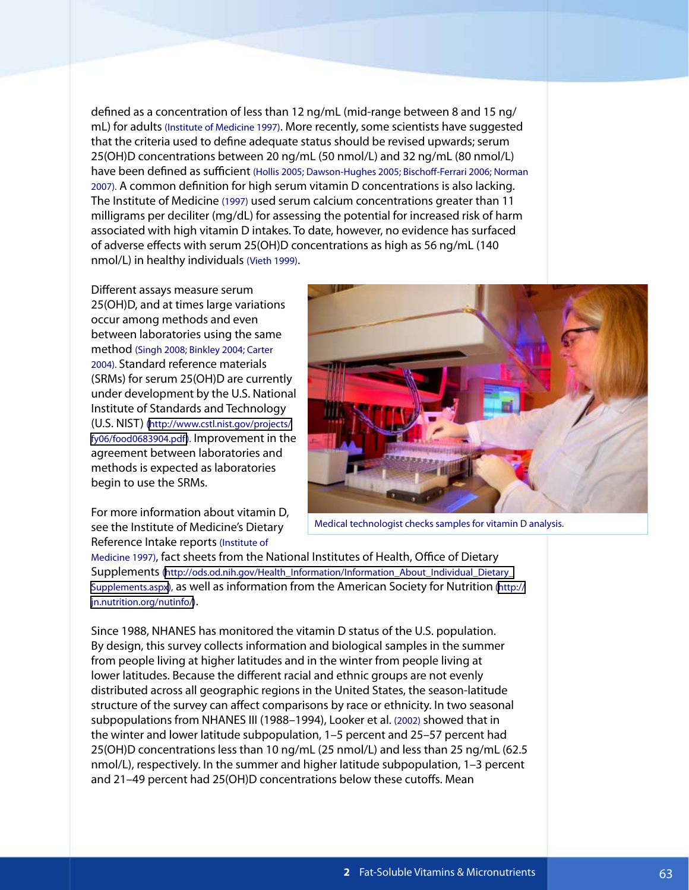defined as a concentration of less than 12 ng/mL (mid-range between 8 and 15 ng/ mL) for adults (Institute of Medicine 1997). More recently, some scientists have suggested that the criteria used to define adequate status should be revised upwards; serum 25(OH)D concentrations between 20 ng/mL (50 nmol/L) and 32 ng/mL (80 nmol/L) have been defined as sufficient (Hollis 2005; Dawson-Hughes 2005; Bischoff-Ferrari 2006; Norman 2007). A common definition for high serum vitamin D concentrations is also lacking. The Institute of Medicine (1997) used serum calcium concentrations greater than 11 milligrams per deciliter (mg/dL) for assessing the potential for increased risk of harm associated with high vitamin D intakes. To date, however, no evidence has surfaced of adverse effects with serum 25(OH)D concentrations as high as 56 ng/mL (140 nmol/L) in healthy individuals (Vieth 1999).

Different assays measure serum 25(OH)D, and at times large variations occur among methods and even between laboratories using the same method (Singh 2008; Binkley 2004; Carter 2004). Standard reference materials (SRMs) for serum 25(OH)D are currently under development by the U.S. National Institute of Standards and Technology (U.S. NIST) ([http://www.cstl.nist.gov/projects/](http://www.cstl.nist.gov/projects/fy06/food0683904.pdf) fy06/food0683904.pdf). Improvement in the agreement between laboratories and methods is expected as laboratories begin to use the SRMs.

For more information about vitamin D, see the Institute of Medicine's Dietary Reference Intake reports (Institute of



Medical technologist checks samples for vitamin D analysis.

Medicine 1997), fact sheets from the National Institutes of Health, Office of Dietary Supplements ([http://ods.od.nih.gov/Health\\_Information/Information\\_About\\_Individual\\_Dietary\\_](http://ods.od.nih.gov/Health_Information/Information_About_Individual_Dietary_Supplements.aspx)  [Supplements.aspx\)](http://ods.od.nih.gov/Health_Information/Information_About_Individual_Dietary_Supplements.aspx), as well as information from the American Society for Nutrition ([http://](http://jn.nutrition.org/nutinfo/)  [jn.nutrition.org/nutinfo/](http://jn.nutrition.org/nutinfo/)).

Since 1988, NHANES has monitored the vitamin D status of the U.S. population. By design, this survey collects information and biological samples in the summer from people living at higher latitudes and in the winter from people living at lower latitudes. Because the different racial and ethnic groups are not evenly distributed across all geographic regions in the United States, the season-latitude structure of the survey can affect comparisons by race or ethnicity. In two seasonal subpopulations from NHANES III (1988–1994), Looker et al. (2002) showed that in the winter and lower latitude subpopulation, 1–5 percent and 25–57 percent had 25(OH)D concentrations less than 10 ng/mL (25 nmol/L) and less than 25 ng/mL (62.5 nmol/L), respectively. In the summer and higher latitude subpopulation, 1–3 percent and 21–49 percent had 25(OH)D concentrations below these cutoffs. Mean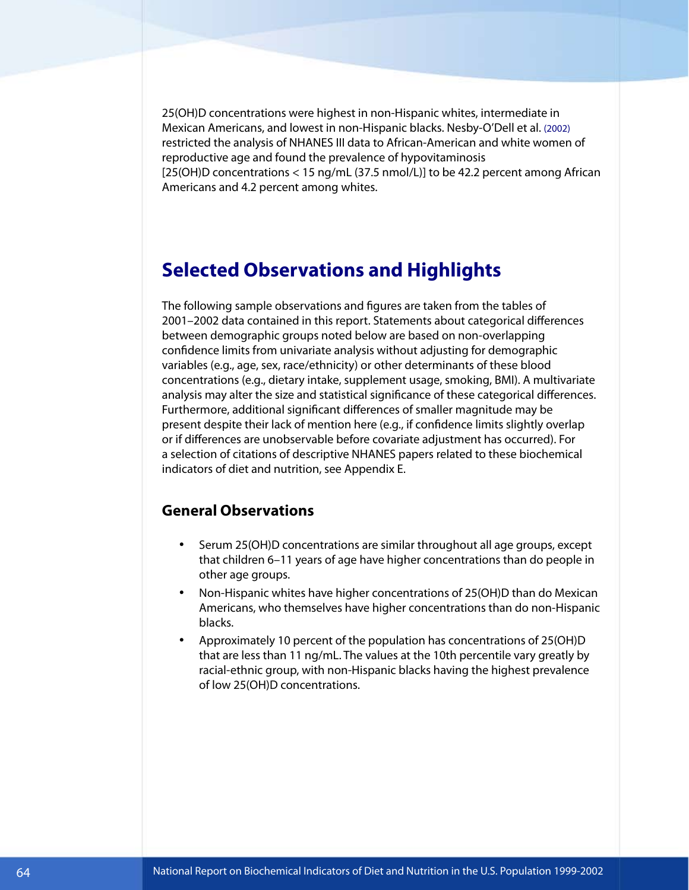25(OH)D concentrations were highest in non-Hispanic whites, intermediate in Mexican Americans, and lowest in non-Hispanic blacks. Nesby-O'Dell et al. (2002) restricted the analysis of NHANES III data to African-American and white women of reproductive age and found the prevalence of hypovitaminosis [25(OH)D concentrations < 15 ng/mL (37.5 nmol/L)] to be 42.2 percent among African Americans and 4.2 percent among whites.

## **Selected Observations and Highlights**

The following sample observations and figures are taken from the tables of 2001–2002 data contained in this report. Statements about categorical differences between demographic groups noted below are based on non-overlapping confidence limits from univariate analysis without adjusting for demographic variables (e.g., age, sex, race/ethnicity) or other determinants of these blood concentrations (e.g., dietary intake, supplement usage, smoking, BMI). A multivariate analysis may alter the size and statistical significance of these categorical differences. Furthermore, additional significant differences of smaller magnitude may be present despite their lack of mention here (e.g., if confidence limits slightly overlap or if differences are unobservable before covariate adjustment has occurred). For a selection of citations of descriptive NHANES papers related to these biochemical indicators of diet and nutrition, see Appendix E.

#### **General Observations**

- Serum 25(OH)D concentrations are similar throughout all age groups, except that children 6–11 years of age have higher concentrations than do people in other age groups.
- Non-Hispanic whites have higher concentrations of 25(OH)D than do Mexican Americans, who themselves have higher concentrations than do non-Hispanic blacks.
- Approximately 10 percent of the population has concentrations of 25(OH)D that are less than 11 ng/mL. The values at the 10th percentile vary greatly by racial-ethnic group, with non-Hispanic blacks having the highest prevalence of low 25(OH)D concentrations.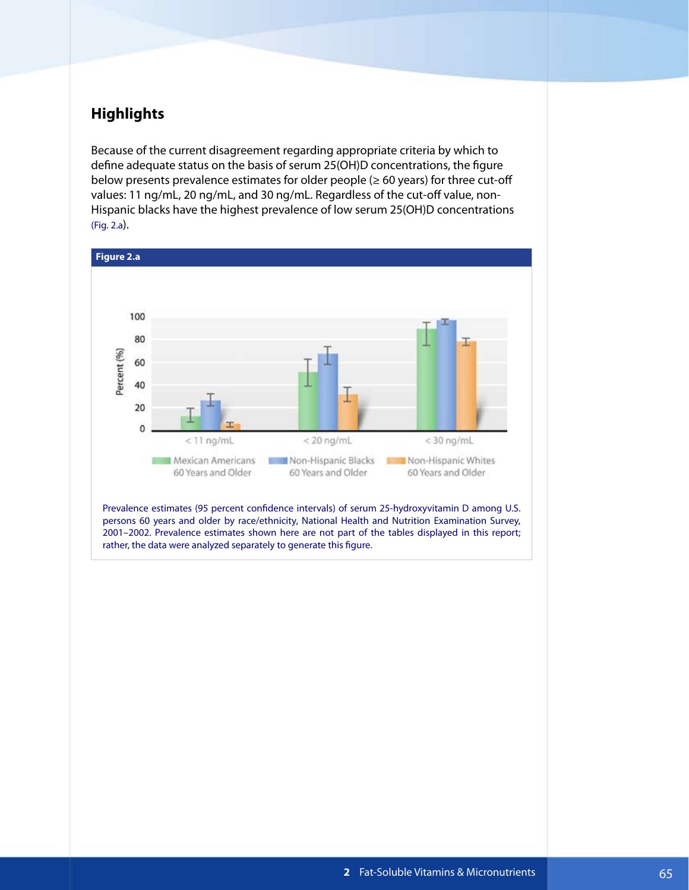## **Highlights**

Because of the current disagreement regarding appropriate criteria by which to define adequate status on the basis of serum 25(OH)D concentrations, the figure below presents prevalence estimates for older people ( $\geq 60$  years) for three cut-off values: 11 ng/mL, 20 ng/mL, and 30 ng/mL. Regardless of the cut-off value, non-Hispanic blacks have the highest prevalence of low serum 25(OH)D concentrations (Fig. 2.a).



Prevalence estimates (95 percent confidence intervals) of serum 25-hydroxyvitamin D among U.S. persons 60 years and older by race/ethnicity, National Health and Nutrition Examination Survey, 2001–2002. Prevalence estimates shown here are not part of the tables displayed in this report; rather, the data were analyzed separately to generate this figure.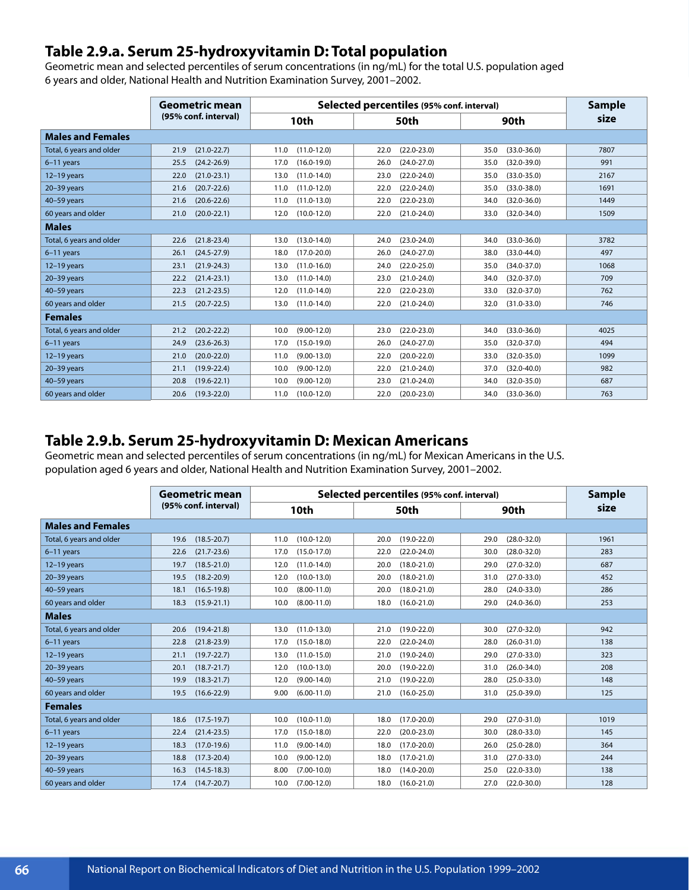## **Table 2.9.a. Serum 25-hydroxyvitamin D: Total population**

Geometric mean and selected percentiles of serum concentrations (in ng/mL) for the total U.S. population aged 6 years and older, National Health and Nutrition Examination Survey, 2001–2002.

|                          | Geometric mean          | Selected percentiles (95% conf. interval) |                         |                         | <b>Sample</b> |
|--------------------------|-------------------------|-------------------------------------------|-------------------------|-------------------------|---------------|
|                          | (95% conf. interval)    | 10th                                      | 50th                    | 90th                    | size          |
| <b>Males and Females</b> |                         |                                           |                         |                         |               |
| Total, 6 years and older | $(21.0 - 22.7)$<br>21.9 | $(11.0 - 12.0)$<br>11.0                   | $(22.0 - 23.0)$<br>22.0 | $(33.0 - 36.0)$<br>35.0 | 7807          |
| $6-11$ years             | $(24.2 - 26.9)$<br>25.5 | $(16.0 - 19.0)$<br>17.0                   | 26.0<br>$(24.0 - 27.0)$ | $(32.0 - 39.0)$<br>35.0 | 991           |
| $12-19$ years            | $(21.0 - 23.1)$<br>22.0 | $(11.0 - 14.0)$<br>13.0                   | $(22.0 - 24.0)$<br>23.0 | $(33.0 - 35.0)$<br>35.0 | 2167          |
| $20-39$ years            | $(20.7 - 22.6)$<br>21.6 | $(11.0 - 12.0)$<br>11.0                   | $(22.0 - 24.0)$<br>22.0 | $(33.0 - 38.0)$<br>35.0 | 1691          |
| $40-59$ years            | $(20.6 - 22.6)$<br>21.6 | $(11.0 - 13.0)$<br>11.0                   | 22.0<br>$(22.0 - 23.0)$ | $(32.0 - 36.0)$<br>34.0 | 1449          |
| 60 years and older       | $(20.0 - 22.1)$<br>21.0 | $(10.0 - 12.0)$<br>12.0                   | $(21.0 - 24.0)$<br>22.0 | $(32.0 - 34.0)$<br>33.0 | 1509          |
| <b>Males</b>             |                         |                                           |                         |                         |               |
| Total, 6 years and older | $(21.8 - 23.4)$<br>22.6 | $(13.0 - 14.0)$<br>13.0                   | $(23.0 - 24.0)$<br>24.0 | 34.0<br>$(33.0 - 36.0)$ | 3782          |
| $6-11$ years             | $(24.5 - 27.9)$<br>26.1 | 18.0<br>$(17.0 - 20.0)$                   | 26.0<br>$(24.0 - 27.0)$ | 38.0<br>$(33.0 - 44.0)$ | 497           |
| $12-19$ years            | $(21.9 - 24.3)$<br>23.1 | $(11.0 - 16.0)$<br>13.0                   | $(22.0 - 25.0)$<br>24.0 | $(34.0 - 37.0)$<br>35.0 | 1068          |
| $20-39$ years            | $(21.4 - 23.1)$<br>22.2 | $(11.0-14.0)$<br>13.0                     | $(21.0 - 24.0)$<br>23.0 | $(32.0 - 37.0)$<br>34.0 | 709           |
| 40-59 years              | $(21.2 - 23.5)$<br>22.3 | $(11.0-14.0)$<br>12.0                     | $(22.0 - 23.0)$<br>22.0 | $(32.0 - 37.0)$<br>33.0 | 762           |
| 60 years and older       | $(20.7 - 22.5)$<br>21.5 | $(11.0 - 14.0)$<br>13.0                   | $(21.0 - 24.0)$<br>22.0 | $(31.0 - 33.0)$<br>32.0 | 746           |
| <b>Females</b>           |                         |                                           |                         |                         |               |
| Total, 6 years and older | $(20.2 - 22.2)$<br>21.2 | 10.0<br>$(9.00 - 12.0)$                   | $(22.0 - 23.0)$<br>23.0 | $(33.0 - 36.0)$<br>34.0 | 4025          |
| 6-11 years               | $(23.6 - 26.3)$<br>24.9 | $(15.0 - 19.0)$<br>17.0                   | $(24.0 - 27.0)$<br>26.0 | $(32.0 - 37.0)$<br>35.0 | 494           |
| $12-19$ years            | $(20.0 - 22.0)$<br>21.0 | $(9.00 - 13.0)$<br>11.0                   | $(20.0 - 22.0)$<br>22.0 | $(32.0 - 35.0)$<br>33.0 | 1099          |
| $20-39$ years            | $(19.9 - 22.4)$<br>21.1 | $(9.00 - 12.0)$<br>10.0                   | 22.0<br>$(21.0 - 24.0)$ | $(32.0 - 40.0)$<br>37.0 | 982           |
| $40-59$ years            | $(19.6 - 22.1)$<br>20.8 | $(9.00 - 12.0)$<br>10.0                   | $(21.0 - 24.0)$<br>23.0 | $(32.0 - 35.0)$<br>34.0 | 687           |
| 60 years and older       | $(19.3 - 22.0)$<br>20.6 | $(10.0 - 12.0)$<br>11.0                   | 22.0<br>$(20.0 - 23.0)$ | 34.0<br>$(33.0 - 36.0)$ | 763           |

#### **Table 2.9.b. Serum 25-hydroxyvitamin D: Mexican Americans**

Geometric mean and selected percentiles of serum concentrations (in ng/mL) for Mexican Americans in the U.S. population aged 6 years and older, National Health and Nutrition Examination Survey, 2001–2002.

|                          | Geometric mean          | Selected percentiles (95% conf. interval) |                         |                         | <b>Sample</b> |
|--------------------------|-------------------------|-------------------------------------------|-------------------------|-------------------------|---------------|
|                          | (95% conf. interval)    | 10th                                      | 50th                    | 90th                    | size          |
| <b>Males and Females</b> |                         |                                           |                         |                         |               |
| Total, 6 years and older | $(18.5 - 20.7)$<br>19.6 | $(10.0 - 12.0)$<br>11.0                   | $(19.0 - 22.0)$<br>20.0 | $(28.0 - 32.0)$<br>29.0 | 1961          |
| $6-11$ years             | $(21.7 - 23.6)$<br>22.6 | 17.0<br>$(15.0 - 17.0)$                   | 22.0<br>$(22.0 - 24.0)$ | 30.0<br>$(28.0 - 32.0)$ | 283           |
| $12-19$ years            | $(18.5 - 21.0)$<br>19.7 | $(11.0 - 14.0)$<br>12.0                   | $(18.0 - 21.0)$<br>20.0 | $(27.0 - 32.0)$<br>29.0 | 687           |
| $20-39$ years            | $(18.2 - 20.9)$<br>19.5 | $(10.0 - 13.0)$<br>12.0                   | $(18.0 - 21.0)$<br>20.0 | $(27.0 - 33.0)$<br>31.0 | 452           |
| 40-59 years              | $(16.5 - 19.8)$<br>18.1 | $(8.00 - 11.0)$<br>10.0                   | $(18.0 - 21.0)$<br>20.0 | $(24.0 - 33.0)$<br>28.0 | 286           |
| 60 years and older       | $(15.9 - 21.1)$<br>18.3 | $(8.00 - 11.0)$<br>10.0                   | $(16.0 - 21.0)$<br>18.0 | $(24.0 - 36.0)$<br>29.0 | 253           |
| <b>Males</b>             |                         |                                           |                         |                         |               |
| Total, 6 years and older | $(19.4 - 21.8)$<br>20.6 | $(11.0 - 13.0)$<br>13.0                   | $(19.0 - 22.0)$<br>21.0 | $(27.0 - 32.0)$<br>30.0 | 942           |
| 6-11 years               | $(21.8 - 23.9)$<br>22.8 | $(15.0 - 18.0)$<br>17.0                   | $(22.0 - 24.0)$<br>22.0 | $(26.0 - 31.0)$<br>28.0 | 138           |
| $12-19$ years            | $(19.7 - 22.7)$<br>21.1 | $(11.0 - 15.0)$<br>13.0                   | 21.0<br>$(19.0 - 24.0)$ | $(27.0 - 33.0)$<br>29.0 | 323           |
| $20-39$ years            | $(18.7 - 21.7)$<br>20.1 | $(10.0 - 13.0)$<br>12.0                   | $(19.0 - 22.0)$<br>20.0 | $(26.0 - 34.0)$<br>31.0 | 208           |
| 40-59 years              | $(18.3 - 21.7)$<br>19.9 | $(9.00-14.0)$<br>12.0                     | $(19.0 - 22.0)$<br>21.0 | $(25.0 - 33.0)$<br>28.0 | 148           |
| 60 years and older       | $(16.6 - 22.9)$<br>19.5 | $(6.00-11.0)$<br>9.00                     | $(16.0 - 25.0)$<br>21.0 | $(25.0 - 39.0)$<br>31.0 | 125           |
| <b>Females</b>           |                         |                                           |                         |                         |               |
| Total, 6 years and older | $(17.5 - 19.7)$<br>18.6 | $(10.0 - 11.0)$<br>10.0                   | $(17.0 - 20.0)$<br>18.0 | 29.0<br>$(27.0 - 31.0)$ | 1019          |
| $6-11$ years             | $(21.4 - 23.5)$<br>22.4 | $(15.0 - 18.0)$<br>17.0                   | 22.0<br>$(20.0 - 23.0)$ | 30.0<br>$(28.0 - 33.0)$ | 145           |
| $12-19$ years            | $(17.0 - 19.6)$<br>18.3 | $(9.00-14.0)$<br>11.0                     | $(17.0 - 20.0)$<br>18.0 | $(25.0 - 28.0)$<br>26.0 | 364           |
| $20 - 39$ years          | $(17.3 - 20.4)$<br>18.8 | $(9.00 - 12.0)$<br>10.0                   | $(17.0 - 21.0)$<br>18.0 | $(27.0 - 33.0)$<br>31.0 | 244           |
| 40-59 years              | $(14.5 - 18.3)$<br>16.3 | $(7.00-10.0)$<br>8.00                     | $(14.0 - 20.0)$<br>18.0 | $(22.0 - 33.0)$<br>25.0 | 138           |
| 60 years and older       | $(14.7 - 20.7)$<br>17.4 | $(7.00-12.0)$<br>10.0                     | $(16.0 - 21.0)$<br>18.0 | $(22.0 - 30.0)$<br>27.0 | 128           |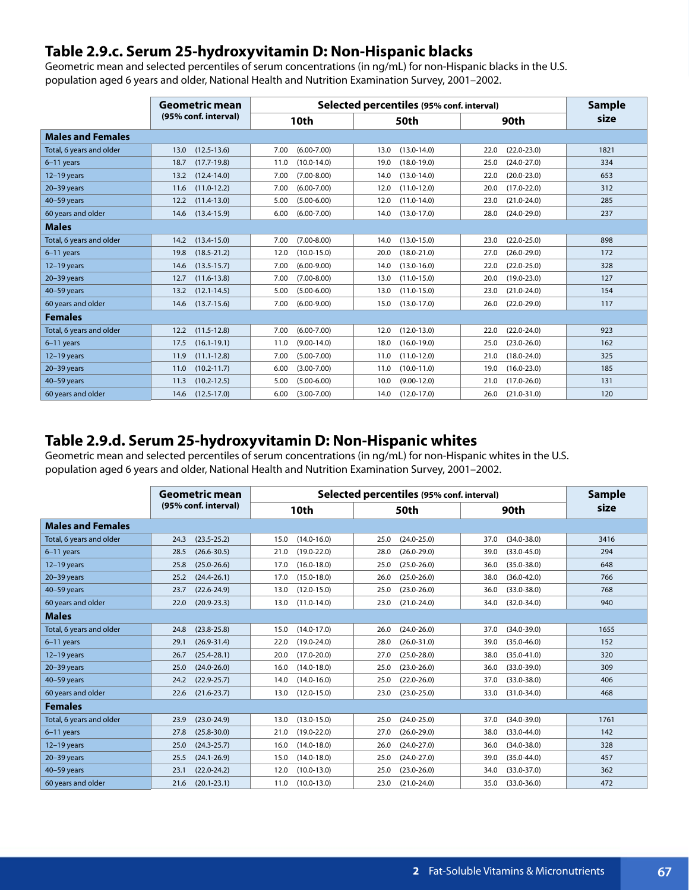## **Table 2.9.c. Serum 25-hydroxyvitamin D: Non-Hispanic blacks**

Geometric mean and selected percentiles of serum concentrations (in ng/mL) for non-Hispanic blacks in the U.S. population aged 6 years and older, National Health and Nutrition Examination Survey, 2001–2002.

|                          | Geometric mean<br>(95% conf. interval) | Selected percentiles (95% conf. interval) |                         |                         | <b>Sample</b> |  |
|--------------------------|----------------------------------------|-------------------------------------------|-------------------------|-------------------------|---------------|--|
|                          |                                        | 10th                                      | 50th                    | 90th                    | size          |  |
| <b>Males and Females</b> |                                        |                                           |                         |                         |               |  |
| Total, 6 years and older | $(12.5 - 13.6)$<br>13.0                | $(6.00 - 7.00)$<br>7.00                   | $(13.0 - 14.0)$<br>13.0 | $(22.0 - 23.0)$<br>22.0 | 1821          |  |
| $6-11$ years             | $(17.7 - 19.8)$<br>18.7                | 11.0<br>$(10.0 - 14.0)$                   | $(18.0 - 19.0)$<br>19.0 | $(24.0 - 27.0)$<br>25.0 | 334           |  |
| 12-19 years              | $(12.4 - 14.0)$<br>13.2                | $(7.00 - 8.00)$<br>7.00                   | $(13.0 - 14.0)$<br>14.0 | $(20.0 - 23.0)$<br>22.0 | 653           |  |
| $20-39$ years            | $(11.0 - 12.2)$<br>11.6                | $(6.00 - 7.00)$<br>7.00                   | $(11.0 - 12.0)$<br>12.0 | $(17.0 - 22.0)$<br>20.0 | 312           |  |
| $40-59$ years            | $(11.4-13.0)$<br>12.2                  | $(5.00 - 6.00)$<br>5.00                   | 12.0<br>$(11.0 - 14.0)$ | $(21.0 - 24.0)$<br>23.0 | 285           |  |
| 60 years and older       | $(13.4 - 15.9)$<br>14.6                | $(6.00 - 7.00)$<br>6.00                   | 14.0<br>$(13.0 - 17.0)$ | 28.0<br>$(24.0 - 29.0)$ | 237           |  |
| <b>Males</b>             |                                        |                                           |                         |                         |               |  |
| Total, 6 years and older | $(13.4 - 15.0)$<br>14.2                | $(7.00 - 8.00)$<br>7.00                   | $(13.0 - 15.0)$<br>14.0 | $(22.0 - 25.0)$<br>23.0 | 898           |  |
| 6-11 years               | $(18.5 - 21.2)$<br>19.8                | 12.0<br>$(10.0 - 15.0)$                   | $(18.0 - 21.0)$<br>20.0 | 27.0<br>$(26.0 - 29.0)$ | 172           |  |
| $12-19$ years            | $(13.5 - 15.7)$<br>14.6                | $(6.00 - 9.00)$<br>7.00                   | 14.0<br>$(13.0 - 16.0)$ | $(22.0 - 25.0)$<br>22.0 | 328           |  |
| $20-39$ years            | $(11.6 - 13.8)$<br>12.7                | $(7.00 - 8.00)$<br>7.00                   | $(11.0 - 15.0)$<br>13.0 | $(19.0 - 23.0)$<br>20.0 | 127           |  |
| $40-59$ years            | $(12.1 - 14.5)$<br>13.2                | $(5.00 - 6.00)$<br>5.00                   | $(11.0 - 15.0)$<br>13.0 | $(21.0 - 24.0)$<br>23.0 | 154           |  |
| 60 years and older       | $(13.7 - 15.6)$<br>14.6                | $(6.00-9.00)$<br>7.00                     | $(13.0 - 17.0)$<br>15.0 | $(22.0 - 29.0)$<br>26.0 | 117           |  |
| <b>Females</b>           |                                        |                                           |                         |                         |               |  |
| Total, 6 years and older | $(11.5 - 12.8)$<br>12.2                | $(6.00 - 7.00)$<br>7.00                   | $(12.0 - 13.0)$<br>12.0 | 22.0<br>$(22.0 - 24.0)$ | 923           |  |
| 6-11 years               | $(16.1 - 19.1)$<br>17.5                | $(9.00-14.0)$<br>11.0                     | $(16.0 - 19.0)$<br>18.0 | $(23.0 - 26.0)$<br>25.0 | 162           |  |
| $12-19$ years            | $(11.1 - 12.8)$<br>11.9                | 7.00<br>$(5.00 - 7.00)$                   | 11.0<br>$(11.0 - 12.0)$ | $(18.0 - 24.0)$<br>21.0 | 325           |  |
| $20 - 39$ years          | $(10.2 - 11.7)$<br>11.0                | $(3.00 - 7.00)$<br>6.00                   | $(10.0 - 11.0)$<br>11.0 | $(16.0 - 23.0)$<br>19.0 | 185           |  |
| $40-59$ years            | $(10.2 - 12.5)$<br>11.3                | $(5.00 - 6.00)$<br>5.00                   | $(9.00 - 12.0)$<br>10.0 | $(17.0 - 26.0)$<br>21.0 | 131           |  |
| 60 years and older       | $(12.5 - 17.0)$<br>14.6                | $(3.00 - 7.00)$<br>6.00                   | $(12.0 - 17.0)$<br>14.0 | $(21.0 - 31.0)$<br>26.0 | 120           |  |

### **Table 2.9.d. Serum 25-hydroxyvitamin D: Non-Hispanic whites**

Geometric mean and selected percentiles of serum concentrations (in ng/mL) for non-Hispanic whites in the U.S. population aged 6 years and older, National Health and Nutrition Examination Survey, 2001–2002.

|                          | Geometric mean          | Selected percentiles (95% conf. interval) |                         |                         | <b>Sample</b> |
|--------------------------|-------------------------|-------------------------------------------|-------------------------|-------------------------|---------------|
|                          | (95% conf. interval)    | 10th                                      | 50th                    | 90th                    | size          |
| <b>Males and Females</b> |                         |                                           |                         |                         |               |
| Total, 6 years and older | $(23.5 - 25.2)$<br>24.3 | $(14.0 - 16.0)$<br>15.0                   | $(24.0 - 25.0)$<br>25.0 | $(34.0 - 38.0)$<br>37.0 | 3416          |
| $6-11$ years             | 28.5<br>$(26.6 - 30.5)$ | $(19.0 - 22.0)$<br>21.0                   | $(26.0 - 29.0)$<br>28.0 | $(33.0 - 45.0)$<br>39.0 | 294           |
| $12-19$ years            | $(25.0 - 26.6)$<br>25.8 | $(16.0 - 18.0)$<br>17.0                   | $(25.0 - 26.0)$<br>25.0 | $(35.0 - 38.0)$<br>36.0 | 648           |
| $20-39$ years            | $(24.4 - 26.1)$<br>25.2 | $(15.0 - 18.0)$<br>17.0                   | $(25.0 - 26.0)$<br>26.0 | $(36.0 - 42.0)$<br>38.0 | 766           |
| 40-59 years              | $(22.6 - 24.9)$<br>23.7 | 13.0<br>$(12.0 - 15.0)$                   | $(23.0 - 26.0)$<br>25.0 | 36.0<br>$(33.0 - 38.0)$ | 768           |
| 60 years and older       | $(20.9 - 23.3)$<br>22.0 | 13.0<br>$(11.0 - 14.0)$                   | $(21.0 - 24.0)$<br>23.0 | $(32.0 - 34.0)$<br>34.0 | 940           |
| <b>Males</b>             |                         |                                           |                         |                         |               |
| Total, 6 years and older | $(23.8 - 25.8)$<br>24.8 | $(14.0 - 17.0)$<br>15.0                   | $(24.0 - 26.0)$<br>26.0 | $(34.0 - 39.0)$<br>37.0 | 1655          |
| $6-11$ years             | $(26.9 - 31.4)$<br>29.1 | $(19.0 - 24.0)$<br>22.0                   | $(26.0 - 31.0)$<br>28.0 | $(35.0 - 46.0)$<br>39.0 | 152           |
| $12-19$ years            | $(25.4 - 28.1)$<br>26.7 | $(17.0 - 20.0)$<br>20.0                   | 27.0<br>$(25.0 - 28.0)$ | $(35.0 - 41.0)$<br>38.0 | 320           |
| $20-39$ years            | $(24.0 - 26.0)$<br>25.0 | 16.0<br>$(14.0 - 18.0)$                   | $(23.0 - 26.0)$<br>25.0 | $(33.0 - 39.0)$<br>36.0 | 309           |
| 40-59 years              | $(22.9 - 25.7)$<br>24.2 | $(14.0 - 16.0)$<br>14.0                   | $(22.0 - 26.0)$<br>25.0 | $(33.0 - 38.0)$<br>37.0 | 406           |
| 60 years and older       | $(21.6 - 23.7)$<br>22.6 | $(12.0 - 15.0)$<br>13.0                   | $(23.0 - 25.0)$<br>23.0 | $(31.0 - 34.0)$<br>33.0 | 468           |
| <b>Females</b>           |                         |                                           |                         |                         |               |
| Total, 6 years and older | $(23.0 - 24.9)$<br>23.9 | $(13.0 - 15.0)$<br>13.0                   | $(24.0 - 25.0)$<br>25.0 | $(34.0 - 39.0)$<br>37.0 | 1761          |
| $6-11$ years             | $(25.8 - 30.0)$<br>27.8 | $(19.0 - 22.0)$<br>21.0                   | $(26.0 - 29.0)$<br>27.0 | $(33.0 - 44.0)$<br>38.0 | 142           |
| $12-19$ years            | $(24.3 - 25.7)$<br>25.0 | $(14.0 - 18.0)$<br>16.0                   | $(24.0 - 27.0)$<br>26.0 | $(34.0 - 38.0)$<br>36.0 | 328           |
| $20-39$ years            | $(24.1 - 26.9)$<br>25.5 | $(14.0 - 18.0)$<br>15.0                   | 25.0<br>$(24.0 - 27.0)$ | $(35.0 - 44.0)$<br>39.0 | 457           |
| $40-59$ years            | $(22.0 - 24.2)$<br>23.1 | 12.0<br>$(10.0 - 13.0)$                   | 25.0<br>$(23.0 - 26.0)$ | $(33.0 - 37.0)$<br>34.0 | 362           |
| 60 years and older       | $(20.1 - 23.1)$<br>21.6 | $(10.0 - 13.0)$<br>11.0                   | $(21.0 - 24.0)$<br>23.0 | $(33.0 - 36.0)$<br>35.0 | 472           |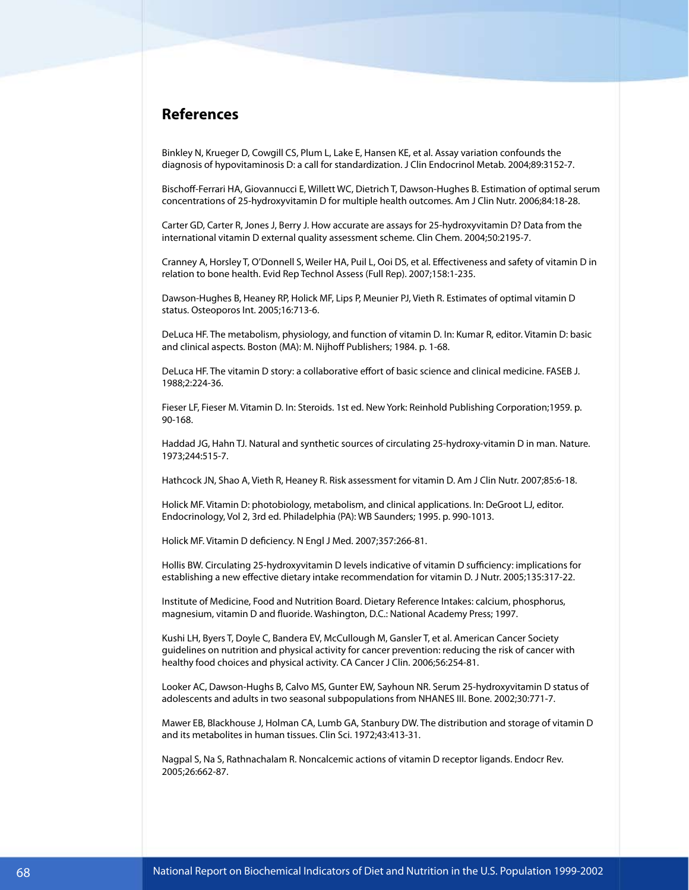#### **References**

Binkley N, Krueger D, Cowgill CS, Plum L, Lake E, Hansen KE, et al. Assay variation confounds the diagnosis of hypovitaminosis D: a call for standardization. J Clin Endocrinol Metab. 2004;89:3152-7.

Bischoff-Ferrari HA, Giovannucci E, Willett WC, Dietrich T, Dawson-Hughes B. Estimation of optimal serum concentrations of 25-hydroxyvitamin D for multiple health outcomes. Am J Clin Nutr. 2006;84:18-28.

Carter GD, Carter R, Jones J, Berry J. How accurate are assays for 25-hydroxyvitamin D? Data from the international vitamin D external quality assessment scheme. Clin Chem. 2004;50:2195-7.

Cranney A, Horsley T, O'Donnell S, Weiler HA, Puil L, Ooi DS, et al. Effectiveness and safety of vitamin D in relation to bone health. Evid Rep Technol Assess (Full Rep). 2007;158:1-235.

Dawson-Hughes B, Heaney RP, Holick MF, Lips P, Meunier PJ, Vieth R. Estimates of optimal vitamin D status. Osteoporos Int. 2005;16:713-6.

DeLuca HF. The metabolism, physiology, and function of vitamin D. In: Kumar R, editor. Vitamin D: basic and clinical aspects. Boston (MA): M. Nijhoff Publishers; 1984. p. 1-68.

DeLuca HF. The vitamin D story: a collaborative effort of basic science and clinical medicine. FASEB J. 1988;2:224-36.

Fieser LF, Fieser M. Vitamin D. In: Steroids. 1st ed. New York: Reinhold Publishing Corporation;1959. p. 90-168.

Haddad JG, Hahn TJ. Natural and synthetic sources of circulating 25-hydroxy-vitamin D in man. Nature. 1973;244:515-7.

Hathcock JN, Shao A, Vieth R, Heaney R. Risk assessment for vitamin D. Am J Clin Nutr. 2007;85:6-18.

Holick MF. Vitamin D: photobiology, metabolism, and clinical applications. In: DeGroot LJ, editor. Endocrinology, Vol 2, 3rd ed. Philadelphia (PA): WB Saunders; 1995. p. 990-1013.

Holick MF. Vitamin D deficiency. N Engl J Med. 2007;357:266-81.

Hollis BW. Circulating 25-hydroxyvitamin D levels indicative of vitamin D sufficiency: implications for establishing a new effective dietary intake recommendation for vitamin D. J Nutr. 2005;135:317-22.

Institute of Medicine, Food and Nutrition Board. Dietary Reference Intakes: calcium, phosphorus, magnesium, vitamin D and fluoride. Washington, D.C.: National Academy Press; 1997.

Kushi LH, Byers T, Doyle C, Bandera EV, McCullough M, Gansler T, et al. American Cancer Society guidelines on nutrition and physical activity for cancer prevention: reducing the risk of cancer with healthy food choices and physical activity. CA Cancer J Clin. 2006;56:254-81.

Looker AC, Dawson-Hughs B, Calvo MS, Gunter EW, Sayhoun NR. Serum 25-hydroxyvitamin D status of adolescents and adults in two seasonal subpopulations from NHANES III. Bone. 2002;30:771-7.

Mawer EB, Blackhouse J, Holman CA, Lumb GA, Stanbury DW. The distribution and storage of vitamin D and its metabolites in human tissues. Clin Sci. 1972;43:413-31.

Nagpal S, Na S, Rathnachalam R. Noncalcemic actions of vitamin D receptor ligands. Endocr Rev. 2005;26:662-87.